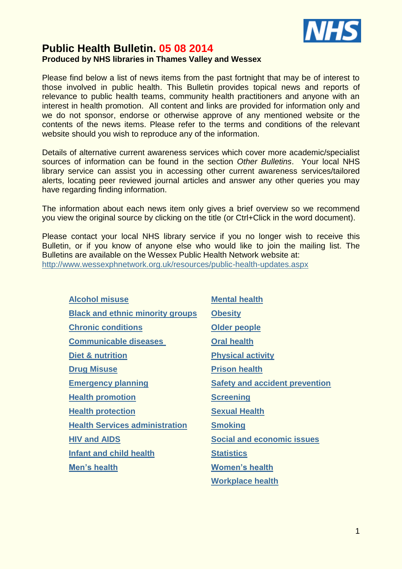

# **Public Health Bulletin. 05 08 2014 Produced by NHS libraries in Thames Valley and Wessex**

Please find below a list of news items from the past fortnight that may be of interest to those involved in public health. This Bulletin provides topical news and reports of relevance to public health teams, community health practitioners and anyone with an interest in health promotion. All content and links are provided for information only and we do not sponsor, endorse or otherwise approve of any mentioned website or the contents of the news items. Please refer to the terms and conditions of the relevant website should you wish to reproduce any of the information.

Details of alternative current awareness services which cover more academic/specialist sources of information can be found in the section *Other Bulletins*. Your local NHS library service can assist you in accessing other current awareness services/tailored alerts, locating peer reviewed journal articles and answer any other queries you may have regarding finding information.

The information about each news item only gives a brief overview so we recommend you view the original source by clicking on the title (or Ctrl+Click in the word document).

Please contact your local NHS library service if you no longer wish to receive this Bulletin, or if you know of anyone else who would like to join the mailing list. The Bulletins are available on the Wessex Public Health Network website at: <http://www.wessexphnetwork.org.uk/resources/public-health-updates.aspx>

| <b>Alcohol misuse</b>                   | <b>Mental health</b>                  |
|-----------------------------------------|---------------------------------------|
| <b>Black and ethnic minority groups</b> | <b>Obesity</b>                        |
| <b>Chronic conditions</b>               | <b>Older people</b>                   |
| <b>Communicable diseases</b>            | <b>Oral health</b>                    |
| <b>Diet &amp; nutrition</b>             | <b>Physical activity</b>              |
| <b>Drug Misuse</b>                      | <b>Prison health</b>                  |
| <b>Emergency planning</b>               | <b>Safety and accident prevention</b> |
| <b>Health promotion</b>                 | <b>Screening</b>                      |
| <b>Health protection</b>                | <b>Sexual Health</b>                  |
| <b>Health Services administration</b>   | <b>Smoking</b>                        |
| <b>HIV and AIDS</b>                     | <b>Social and economic issues</b>     |
| <b>Infant and child health</b>          | <b>Statistics</b>                     |
| Men's health                            | <b>Women's health</b>                 |
|                                         | <b>Workplace health</b>               |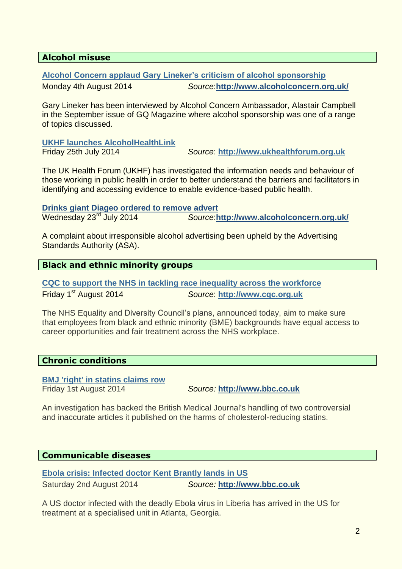# <span id="page-1-0"></span>**Alcohol misuse**

# **[Alcohol Concern applaud Gary Lineker's criticism of alcohol sponsorship](http://www.alcoholconcern.org.uk/media-centre/news/alcohol-concern-applaud-gary-linekers-criticism-of-alcohol-sponsorship)**

Monday 4th August 2014 *Source*:**<http://www.alcoholconcern.org.uk/>**

Gary Lineker has been interviewed by Alcohol Concern Ambassador, Alastair Campbell in the September issue of GQ Magazine where alcohol sponsorship was one of a range of topics discussed.

**[UKHF launches AlcoholHealthLink](http://www.ukhealthforum.org.uk/who-we-are/our-work/ukhf-whats-new/?entryid70=36556)**

Friday 25th July 2014 *Source*: **[http://www.ukhealthforum.org.uk](http://www.ukhealthforum.org.uk/)**

The UK Health Forum (UKHF) has investigated the information needs and behaviour of those working in public health in order to better understand the barriers and facilitators in identifying and accessing evidence to enable evidence-based public health.

**[Drinks giant Diageo ordered to remove advert](http://www.alcoholconcern.org.uk/media-centre/news/drinks-giant-diageo-ordered-to-remove-advert)<br>Wednesday 23<sup>rd</sup> July 2014 <b>Source: h** Wednesday 23rd July 2014 *Source*:**<http://www.alcoholconcern.org.uk/>**

A complaint about irresponsible alcohol advertising been upheld by the Advertising Standards Authority (ASA).

# <span id="page-1-1"></span>**Black and ethnic minority groups**

**[CQC to support the NHS in tackling race inequality across the workforce](http://www.cqc.org.uk/content/cqc-support-nhs-tackling-race-inequality-across-workforce)** Friday 1st August 2014 *Source*: **[http://www.cqc.org.uk](http://www.cqc.org.uk/)**

The NHS Equality and [Diversity Council's plans,](http://www.england.nhs.uk/2014/07/31/tackle-race-inequality/) announced today, aim to make sure that employees from black and ethnic minority (BME) backgrounds have equal access to career opportunities and fair treatment across the NHS workplace.

# <span id="page-1-2"></span>**Chronic conditions**

# **[BMJ 'right' in statins claims row](http://www.bbc.co.uk/news/health-28602155)**

Friday 1st August 2014 *Source:* **[http://www.bbc.co.uk](http://www.bbc.co.uk/)**

An investigation has backed the British Medical Journal's handling of two controversial and inaccurate articles it published on the harms of cholesterol-reducing statins.

# <span id="page-1-3"></span>**Communicable diseases**

**[Ebola crisis: Infected doctor Kent Brantly lands in US](http://www.bbc.co.uk/news/world-us-canada-28596416)**

Saturday 2nd August 2014 *Source:* **[http://www.bbc.co.uk](http://www.bbc.co.uk/)**

A US doctor infected with the deadly Ebola virus in Liberia has arrived in the US for treatment at a specialised unit in Atlanta, Georgia.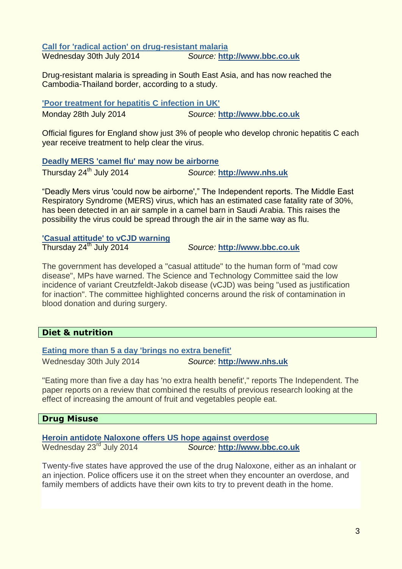**[Call for 'radical action' on drug-resistant malaria](http://www.bbc.co.uk/news/health-28569966)** Wednesday 30th July 2014 *Source:* **[http://www.bbc.co.uk](http://www.bbc.co.uk/)**

Drug-resistant malaria is spreading in South East Asia, and has now reached the Cambodia-Thailand border, according to a study.

**['Poor treatment for hepatitis C infection in UK'](http://www.bbc.co.uk/news/health-28524031)** Monday 28th July 2014 *Source:* **[http://www.bbc.co.uk](http://www.bbc.co.uk/)**

Official figures for England show just 3% of people who develop chronic hepatitis C each year receive treatment to help clear the virus.

#### **[Deadly MERS 'camel flu' may now be airborne](http://www.nhs.uk/news/2014/07July/Pages/Deadly-MERS-camel-flu-may-now-be-airborne.aspx)**

Thursday 24th July 2014 *Source*: **[http://www.nhs.uk](http://www.nhs.uk/)**

"Deadly Mers virus 'could now be airborne'," The Independent reports. The Middle East Respiratory Syndrome (MERS) virus, which has an estimated case fatality rate of 30%, has been detected in an air sample in a camel barn in Saudi Arabia. This raises the possibility the virus could be spread through the air in the same way as flu.

#### **['Casual attitude' to vCJD warning](http://www.bbc.co.uk/news/health-28443558)**

Thursday 24th July 2014 *Source:* **[http://www.bbc.co.uk](http://www.bbc.co.uk/)**

The government has developed a "casual attitude" to the human form of "mad cow disease", MPs have warned. The Science and Technology Committee said the low incidence of variant Creutzfeldt-Jakob disease (vCJD) was being "used as justification for inaction". The committee highlighted concerns around the risk of contamination in blood donation and during surgery.

# <span id="page-2-0"></span>**Diet & nutrition**

# **[Eating more than 5 a day 'brings no extra benefit'](http://www.nhs.uk/news/2014/07July/Pages/Eating-more-than-5-a-day-brings-no-extra-benefit.aspx)**

Wednesday 30th July 2014 *Source*: **[http://www.nhs.uk](http://www.nhs.uk/)**

"Eating more than five a day has 'no extra health benefit'," reports The Independent. The paper reports on a review that combined the results of previous research looking at the effect of increasing the amount of fruit and vegetables people eat.

# <span id="page-2-1"></span>**Drug Misuse**

# **[Heroin antidote Naloxone offers US hope against overdose](http://www.bbc.co.uk/news/magazine-28425144)**

Wednesday 23rd July 2014 *Source:* **[http://www.bbc.co.uk](http://www.bbc.co.uk/)**

Twenty-five states have approved the use of the drug Naloxone, either as an inhalant or an injection. Police officers use it on the street when they encounter an overdose, and family members of addicts have their own kits to try to prevent death in the home.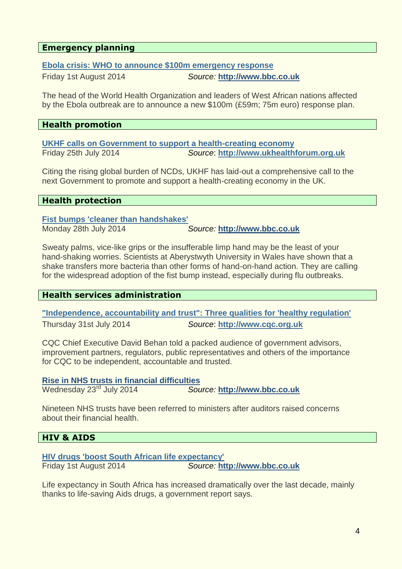# <span id="page-3-0"></span>**Emergency planning**

## **[Ebola crisis: WHO to announce \\$100m emergency response](http://www.bbc.co.uk/news/world-africa-28593987)**

Friday 1st August 2014 *Source:* **[http://www.bbc.co.uk](http://www.bbc.co.uk/)**

The head of the World Health Organization and leaders of West African nations affected by the Ebola outbreak are to announce a new \$100m (£59m; 75m euro) response plan.

#### <span id="page-3-1"></span>**Health promotion**

**[UKHF calls on Government to support a health-creating economy](http://www.ukhealthforum.org.uk/who-we-are/our-work/ukhf-whats-new/?entryid70=36562)** Friday 25th July 2014 *Source*: **[http://www.ukhealthforum.org.uk](http://www.ukhealthforum.org.uk/)**

Citing the rising global burden of NCDs, UKHF has laid-out a comprehensive call to the next Government to promote and support a health-creating economy in the UK.

#### <span id="page-3-2"></span>**Health protection**

**[Fist bumps 'cleaner](http://www.bbc.co.uk/news/health-28481957) than handshakes'**

Monday 28th July 2014 *Source:* **[http://www.bbc.co.uk](http://www.bbc.co.uk/)**

Sweaty palms, vice-like grips or the insufferable limp hand may be the least of your hand-shaking worries. Scientists at Aberystwyth University in Wales have shown that a shake transfers more bacteria than other forms of hand-on-hand action. They are calling for the widespread adoption of the fist bump instead, especially during flu outbreaks.

# <span id="page-3-3"></span>**Health services administration**

**["Independence, accountability and trust": Three qualities for 'healthy regulation'](http://www.cqc.org.uk/content/independence-accountability-and-trust-three-qualities-healthy-regulation)** Thursday 31st July 2014 *Source*: **[http://www.cqc.org.uk](http://www.cqc.org.uk/)**

CQC Chief Executive David Behan told a packed audience of government advisors, improvement partners, regulators, public representatives and others of the importance for CQC to be independent, accountable and trusted.

# **[Rise in NHS trusts in financial difficulties](http://www.bbc.co.uk/news/health-28439323)**

Wednesday 23rd July 2014 *Source:* **[http://www.bbc.co.uk](http://www.bbc.co.uk/)**

Nineteen NHS trusts have been referred to ministers after auditors raised concerns about their financial health.

# <span id="page-3-4"></span>**HIV & AIDS**

**[HIV drugs 'boost South African life expectancy'](http://www.bbc.co.uk/news/world-africa-28592255)** Friday 1st August 2014 *Source:* **[http://www.bbc.co.uk](http://www.bbc.co.uk/)**

Life expectancy in South Africa has increased dramatically over the last decade, mainly thanks to life-saving Aids drugs, a government report says.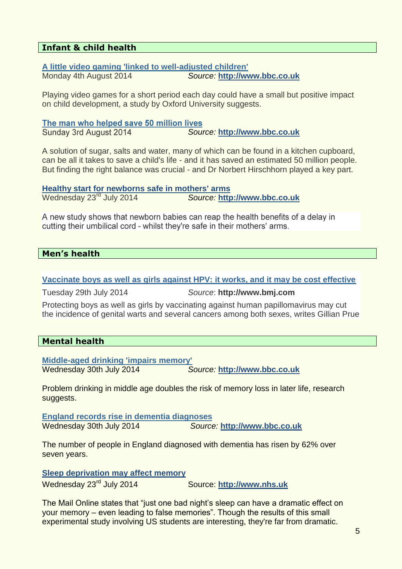# <span id="page-4-1"></span>**Infant & child health**

#### **[A little video gaming 'linked to well-adjusted children'](http://www.bbc.co.uk/news/health-28602887)** Monday 4th August 2014 *Source:* **[http://www.bbc.co.uk](http://www.bbc.co.uk/)**

Playing video games for a short period each day could have a small but positive impact on child development, a study by Oxford University suggests.

The man who helped save 50 million lives Sunday 3rd August 2014 *Source:* **[http://www.bbc.co.uk](http://www.bbc.co.uk/)**

A solution of sugar, salts and water, many of which can be found in a kitchen cupboard, can be all it takes to save a child's life - and it has saved an estimated 50 million people. But finding the right balance was crucial - and Dr Norbert Hirschhorn played a key part.

**[Healthy start for newborns safe in mothers' arms](http://www.bbc.co.uk/news/health-28444575)** Wednesday 23rd July 2014 *Source:* **[http://www.bbc.co.uk](http://www.bbc.co.uk/)**

A new study shows that newborn babies can reap the health benefits of a delay in cutting their umbilical cord - whilst they're safe in their mothers' arms.

# <span id="page-4-2"></span>**Men's health**

**[Vaccinate boys as well as girls against HPV: it works, and it may be cost effective](http://www.bmj.com/content/349/bmj.g4834?utm_medium=email&utm_source=Family+Planning+Association&utm_campaign=4511099_Sexual+Health+News%2c+28+July+-+1+August+2014&utm_content=hpv-bmj&dm_i=61L,2OOSB,BU4YF5,9TGLL,1)**

Tuesday 29th July 2014 *Source*: **http://www.bmj.com**

Protecting boys as well as girls by vaccinating against human papillomavirus may cut the incidence of genital warts and several cancers among both sexes, writes Gillian Prue

# <span id="page-4-0"></span>**Mental health**

**[Middle-aged drinking 'impairs memory'](http://www.bbc.co.uk/news/health-28546656)** Wednesday 30th July 2014 *Source:* **[http://www.bbc.co.uk](http://www.bbc.co.uk/)**

Problem drinking in middle age doubles the risk of memory loss in later life, research suggests.

**[England records rise in dementia diagnoses](http://www.bbc.co.uk/news/health-28565213)** Wednesday 30th July 2014 *Source:* **[http://www.bbc.co.uk](http://www.bbc.co.uk/)**

The number of people in England diagnosed with dementia has risen by 62% over seven years.

**[Sleep deprivation may affect memory](http://www.nhs.uk/news/2014/07July/Pages/Sleep-deprivation-may-affect-memory.aspx)**

Wednesday 23rd July 2014 Source: **[http://www.nhs.uk](http://www.nhs.uk/)**

The Mail Online states that "just one bad night's sleep can have a dramatic effect on your memory – even leading to false memories". Though the results of this small experimental study involving US students are interesting, they're far from dramatic.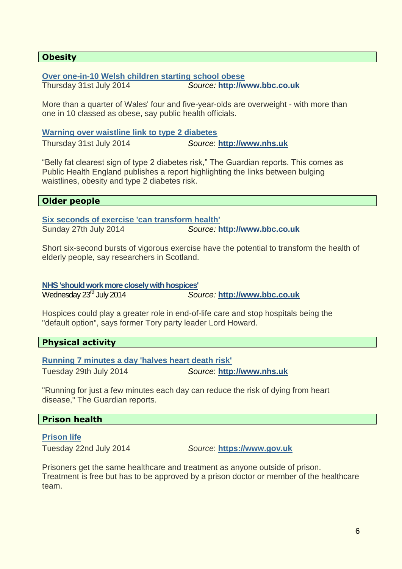# <span id="page-5-0"></span>**Obesity**

#### **[Over one-in-10 Welsh children](http://www.bbc.co.uk/news/uk-wales-28567638) starting school obese**

Thursday 31st July 2014 *Source:* **http://www.bbc.co.uk**

More than a quarter of Wales' four and five-year-olds are overweight - with more than one in 10 classed as obese, say public health officials.

#### **[Warning over waistline link to type 2 diabetes](http://www.nhs.uk/news/2014/07July/Pages/Warning-over-waistline-link-to-type-2-diabetes.aspx)**

Thursday 31st July 2014 *Source*: **[http://www.nhs.uk](http://www.nhs.uk/)**

"Belly fat clearest sign of type 2 diabetes risk," The Guardian reports. This comes as Public Health England publishes a report highlighting the links between bulging waistlines, obesity and type 2 diabetes risk.

<span id="page-5-1"></span>

|  | <b>Older people</b> |  |
|--|---------------------|--|
|  |                     |  |

**[Six seconds of exercise 'can transform health'](http://www.bbc.co.uk/news/health-28400968)**

Sunday 27th July 2014 *Source:* **http://www.bbc.co.uk**

Short six-second bursts of vigorous exercise have the potential to transform the health of elderly people, say researchers in Scotland.

**[NHS 'should work more closely with hospices'](http://www.bbc.co.uk/news/health-28417560)**

Wednesday 23rd July 2014 *Source:* **[http://www.bbc.co.uk](http://www.bbc.co.uk/)**

Hospices could play a greater role in end-of-life care and stop hospitals being the "default option", says former Tory party leader Lord Howard.

<span id="page-5-2"></span>**Physical activity**

**[Running 7 minutes a day 'halves heart death risk'](http://www.nhs.uk/news/2014/07July/Pages/Running-7-minutes-a-day-halves-heart-death-risk.aspx)**

Tuesday 29th July 2014 *Source*: **[http://www.nhs.uk](http://www.nhs.uk/)**

"Running for just a few minutes each day can reduce the risk of dying from heart disease," The Guardian reports.

# <span id="page-5-3"></span>**Prison health**

**[Prison life](https://www.gov.uk/life-in-prison/healthcare-in-prison)**

Tuesday 22nd July 2014 *Source*: **[https://www.gov.uk](https://www.gov.uk/)**

Prisoners get the same healthcare and treatment as anyone outside of prison. Treatment is free but has to be approved by a prison doctor or member of the healthcare team.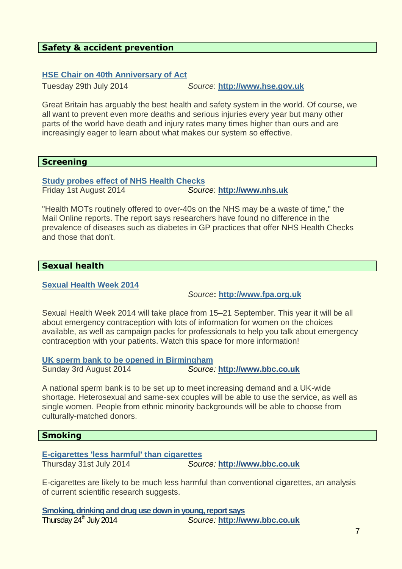# <span id="page-6-0"></span>**Safety & accident prevention**

#### **[HSE Chair on 40th Anniversary of Act](http://www.hse.gov.uk/news/judith-risk-assessment/a-wish-on-a-40th-birthday290714.htm)**

Tuesday 29th July 2014 *Source*: **[http://www.hse.gov.uk](http://www.hse.gov.uk/)**

Great Britain has arguably the best health and safety system in the world. Of course, we all want to prevent even more deaths and serious injuries every year but many other parts of the world have death and injury rates many times higher than ours and are increasingly eager to learn about what makes our system so effective.

#### <span id="page-6-1"></span>**Screening**

**[Study probes effect of NHS Health Checks](http://www.nhs.uk/news/2014/08August/Pages/NHS-Health-Checks-make-no-difference-study-claims.aspx)** Friday 1st August 2014 *Source*: **[http://www.nhs.uk](http://www.nhs.uk/)**

"Health MOTs routinely offered to over-40s on the NHS may be a waste of time," the Mail Online reports. The report says researchers have found no difference in the prevalence of diseases such as diabetes in GP practices that offer NHS Health Checks and those that don't.

#### <span id="page-6-2"></span>**Sexual health**

#### **[Sexual Health Week 2014](http://www.fpa.org.uk/sexual-health-week/sexual-health-week-2014?utm_medium=email&utm_source=Family+Planning+Association&utm_campaign=4511099_Sexual+Health+News%2c+28+July+-+1+August+2014&utm_content=shw&dm_i=61L,2OOSB,BU4YF5,9T4ZL,1)**

*Source***: [http://www.fpa.org.uk](http://www.fpa.org.uk/)**

Sexual Health Week 2014 will take place from 15–21 September. This year it will be all about emergency contraception with lots of information for women on the choices available, as well as campaign packs for professionals to help you talk about emergency contraception with your patients. Watch this space for more information!

**[UK sperm bank to be opened in Birmingham](http://www.bbc.co.uk/news/uk-england-birmingham-28631068)** Sunday 3rd August 2014 *Source:* **[http://www.bbc.co.uk](http://www.bbc.co.uk/)**

A national sperm bank is to be set up to meet increasing demand and a UK-wide shortage. Heterosexual and same-sex couples will be able to use the service, as well as single women. People from ethnic minority backgrounds will be able to choose from culturally-matched donors.

#### <span id="page-6-3"></span>**Smoking**

**[E-cigarettes 'less harmful' than cigarettes](http://www.bbc.co.uk/news/health-28554456)** Thursday 31st July 2014 *Source:* **[http://www.bbc.co.uk](http://www.bbc.co.uk/)**

E-cigarettes are likely to be much less harmful than conventional cigarettes, an analysis of current scientific research suggests.

**[Smoking, drinking and drug use down in young, report says](http://www.bbc.co.uk/news/health-28461530)** Thursday 24th July 2014 *Source:* **[http://www.bbc.co.uk](http://www.bbc.co.uk/)**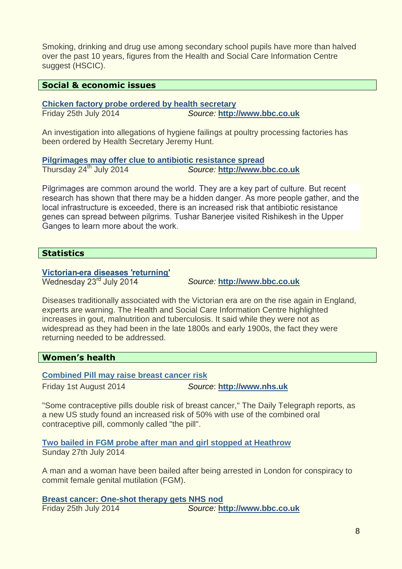Smoking, drinking and drug use among secondary school pupils have more than halved over the past 10 years, figures from the Health and Social Care Information Centre suggest (HSCIC).

# <span id="page-7-0"></span>**Social & economic issues**

**[Chicken factory probe ordered by health secretary](http://www.bbc.co.uk/news/uk-28332958)**

Friday 25th July 2014 *Source:* **[http://www.bbc.co.uk](http://www.bbc.co.uk/)**

An investigation into allegations of hygiene failings at poultry processing factories has been ordered by Health Secretary Jeremy Hunt.

**[Pilgrimages may offer clue to antibiotic resistance spread](http://www.bbc.co.uk/news/health-28368313)** Thursday 24th July 2014 *Source:* **[http://www.bbc.co.uk](http://www.bbc.co.uk/)**

Pilgrimages are common around the world. They are a key part of culture. But recent research has shown that there may be a hidden danger. As more people gather, and the local infrastructure is exceeded, there is an increased risk that antibiotic resistance genes can spread between pilgrims. Tushar Banerjee visited Rishikesh in the Upper Ganges to learn more about the work.

# <span id="page-7-1"></span>**Statistics**

# Victorian-era diseases 'returning'

Wednesday 23<sup>rd</sup> July 2014

*Source:* **[http://www.bbc.co.uk](http://www.bbc.co.uk/)**

Diseases traditionally associated with the Victorian era are on the rise again in England, experts are warning. The Health and Social Care Information Centre highlighted increases in gout, malnutrition and tuberculosis. It said while they were not as widespread as they had been in the late 1800s and early 1900s, the fact they were returning needed to be addressed.

# <span id="page-7-2"></span>**Women's health**

**[Combined Pill may raise breast cancer risk](http://www.nhs.uk/news/2014/08August/Pages/Contraceptive-pills-may-double-breast-cancer-risk.aspx)**

Friday 1st August 2014 *Source*: **[http://www.nhs.uk](http://www.nhs.uk/)**

"Some contraceptive pills double risk of breast cancer," The Daily Telegraph reports, as a new US study found an increased risk of 50% with use of the combined oral contraceptive pill, commonly called "the pill".

**[Two bailed in FGM probe after man and girl stopped at Heathrow](http://www.bbc.co.uk/news/uk-england-london-28516382?utm_medium=email&utm_source=Family+Planning+Association&utm_campaign=4511099_Sexual+Health+News%2c+28+July+-+1+August+2014&utm_content=fgm-arrests&dm_i=61L,2OOSB,BU4YF5,9T4ZI,1)** Sunday 27th July 2014

A man and a woman have been bailed after being arrested in London for conspiracy to commit female genital mutilation (FGM).

**[Breast cancer: One-shot therapy gets NHS nod](http://www.bbc.co.uk/news/health-28442549)** Friday 25th July 2014 *Source:* **[http://www.bbc.co.uk](http://www.bbc.co.uk/)**